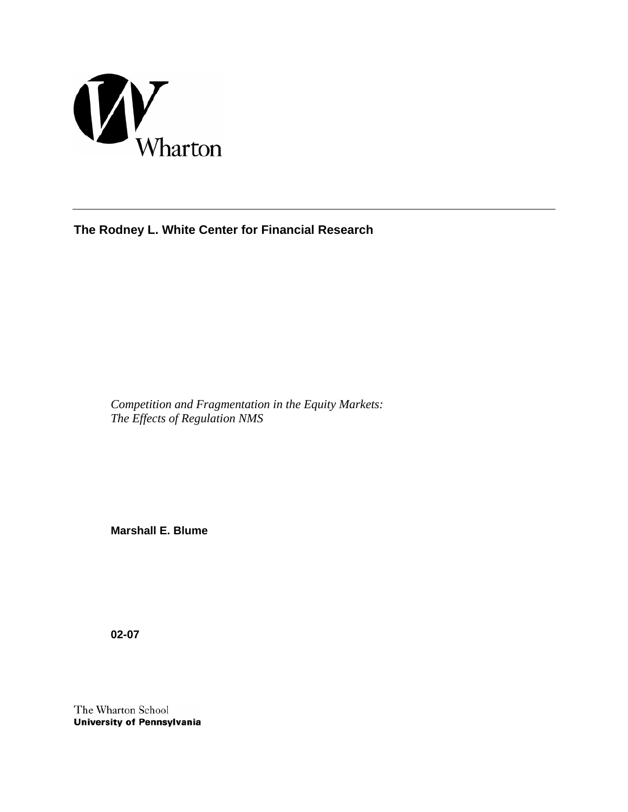

**The Rodney L. White Center for Financial Research** 

*Competition and Fragmentation in the Equity Markets: The Effects of Regulation NMS* 

**Marshall E. Blume** 

**02-07** 

The Wharton School **University of Pennsylvania**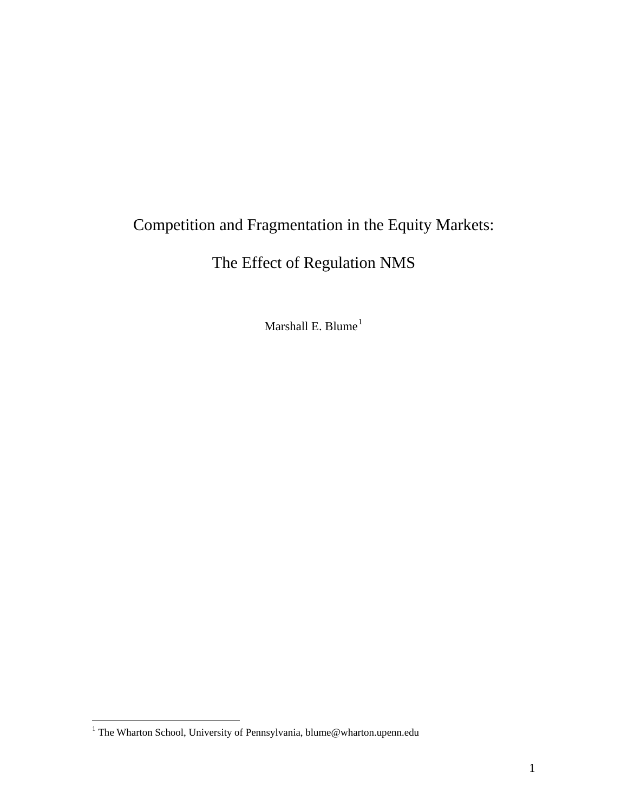# Competition and Fragmentation in the Equity Markets:

# The Effect of Regulation NMS

Marshall E. Blume<sup>[1](#page-1-0)</sup>

<span id="page-1-0"></span> 1 The Wharton School, University of Pennsylvania, blume@wharton.upenn.edu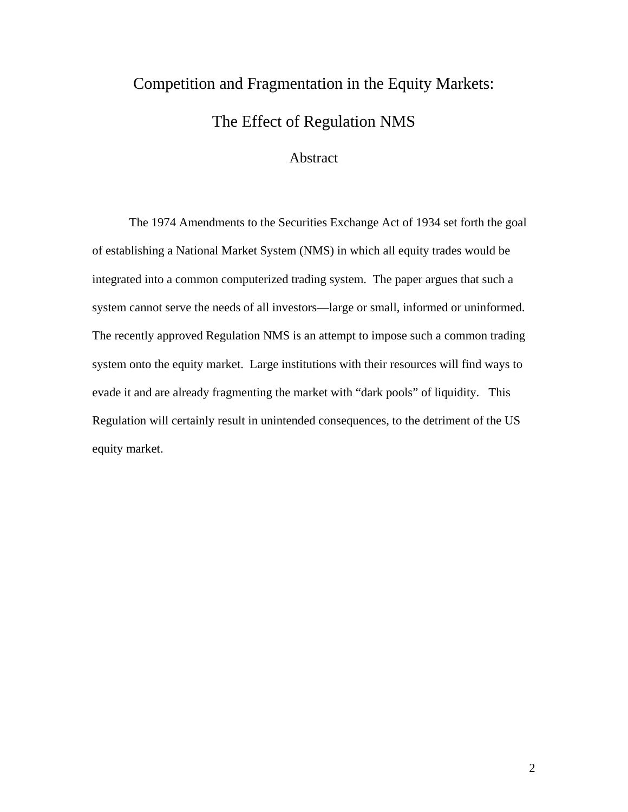# Competition and Fragmentation in the Equity Markets: The Effect of Regulation NMS

Abstract

The 1974 Amendments to the Securities Exchange Act of 1934 set forth the goal of establishing a National Market System (NMS) in which all equity trades would be integrated into a common computerized trading system. The paper argues that such a system cannot serve the needs of all investors—large or small, informed or uninformed. The recently approved Regulation NMS is an attempt to impose such a common trading system onto the equity market. Large institutions with their resources will find ways to evade it and are already fragmenting the market with "dark pools" of liquidity. This Regulation will certainly result in unintended consequences, to the detriment of the US equity market.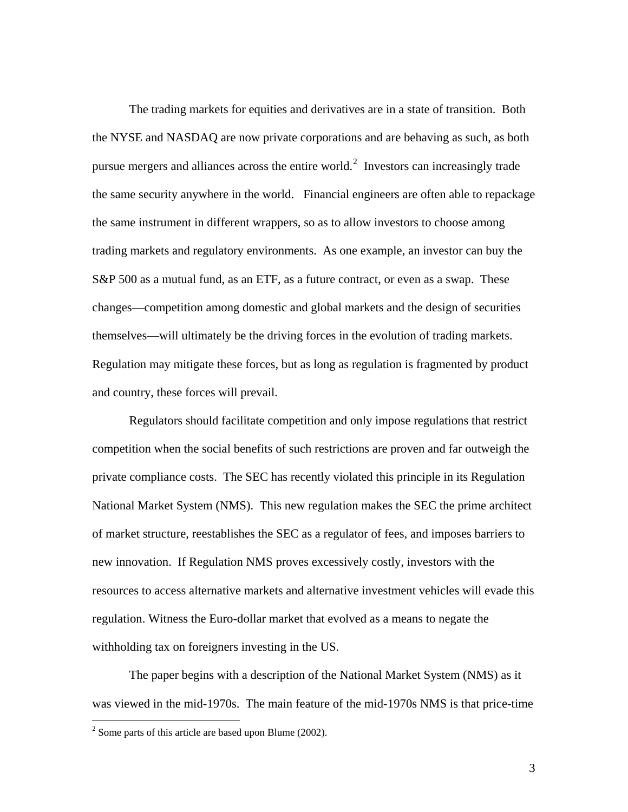The trading markets for equities and derivatives are in a state of transition. Both the NYSE and NASDAQ are now private corporations and are behaving as such, as both pursue mergers and alliances across the entire world.<sup>[2](#page-3-0)</sup> Investors can increasingly trade the same security anywhere in the world. Financial engineers are often able to repackage the same instrument in different wrappers, so as to allow investors to choose among trading markets and regulatory environments. As one example, an investor can buy the S&P 500 as a mutual fund, as an ETF, as a future contract, or even as a swap. These changes—competition among domestic and global markets and the design of securities themselves—will ultimately be the driving forces in the evolution of trading markets. Regulation may mitigate these forces, but as long as regulation is fragmented by product and country, these forces will prevail.

 Regulators should facilitate competition and only impose regulations that restrict competition when the social benefits of such restrictions are proven and far outweigh the private compliance costs. The SEC has recently violated this principle in its Regulation National Market System (NMS). This new regulation makes the SEC the prime architect of market structure, reestablishes the SEC as a regulator of fees, and imposes barriers to new innovation. If Regulation NMS proves excessively costly, investors with the resources to access alternative markets and alternative investment vehicles will evade this regulation. Witness the Euro-dollar market that evolved as a means to negate the withholding tax on foreigners investing in the US.

 The paper begins with a description of the National Market System (NMS) as it was viewed in the mid-1970s. The main feature of the mid-1970s NMS is that price-time

<span id="page-3-0"></span> $2^2$  Some parts of this article are based upon Blume (2002).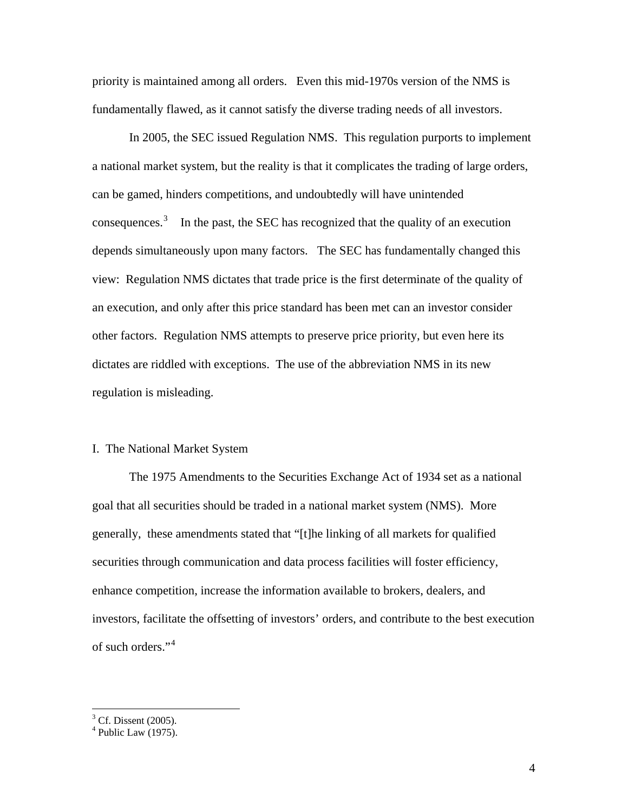priority is maintained among all orders. Even this mid-1970s version of the NMS is fundamentally flawed, as it cannot satisfy the diverse trading needs of all investors.

 In 2005, the SEC issued Regulation NMS. This regulation purports to implement a national market system, but the reality is that it complicates the trading of large orders, can be gamed, hinders competitions, and undoubtedly will have unintended consequences.<sup>[3](#page-4-0)</sup> In the past, the SEC has recognized that the quality of an execution depends simultaneously upon many factors. The SEC has fundamentally changed this view: Regulation NMS dictates that trade price is the first determinate of the quality of an execution, and only after this price standard has been met can an investor consider other factors. Regulation NMS attempts to preserve price priority, but even here its dictates are riddled with exceptions. The use of the abbreviation NMS in its new regulation is misleading.

#### I. The National Market System

 The 1975 Amendments to the Securities Exchange Act of 1934 set as a national goal that all securities should be traded in a national market system (NMS). More generally, these amendments stated that "[t]he linking of all markets for qualified securities through communication and data process facilities will foster efficiency, enhance competition, increase the information available to brokers, dealers, and investors, facilitate the offsetting of investors' orders, and contribute to the best execution of such orders."[4](#page-4-1)

<sup>&</sup>lt;sup>3</sup> Cf. Dissent (2005).

<span id="page-4-1"></span><span id="page-4-0"></span> $4$  Public Law (1975).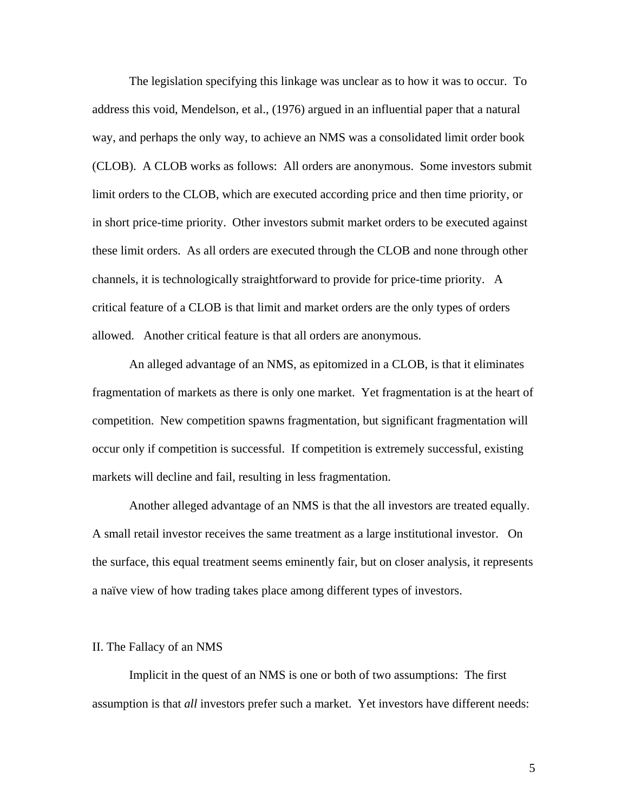The legislation specifying this linkage was unclear as to how it was to occur. To address this void, Mendelson, et al., (1976) argued in an influential paper that a natural way, and perhaps the only way, to achieve an NMS was a consolidated limit order book (CLOB). A CLOB works as follows: All orders are anonymous. Some investors submit limit orders to the CLOB, which are executed according price and then time priority, or in short price-time priority. Other investors submit market orders to be executed against these limit orders. As all orders are executed through the CLOB and none through other channels, it is technologically straightforward to provide for price-time priority. A critical feature of a CLOB is that limit and market orders are the only types of orders allowed. Another critical feature is that all orders are anonymous.

 An alleged advantage of an NMS, as epitomized in a CLOB, is that it eliminates fragmentation of markets as there is only one market. Yet fragmentation is at the heart of competition. New competition spawns fragmentation, but significant fragmentation will occur only if competition is successful. If competition is extremely successful, existing markets will decline and fail, resulting in less fragmentation.

 Another alleged advantage of an NMS is that the all investors are treated equally. A small retail investor receives the same treatment as a large institutional investor. On the surface, this equal treatment seems eminently fair, but on closer analysis, it represents a naïve view of how trading takes place among different types of investors.

#### II. The Fallacy of an NMS

 Implicit in the quest of an NMS is one or both of two assumptions: The first assumption is that *all* investors prefer such a market. Yet investors have different needs: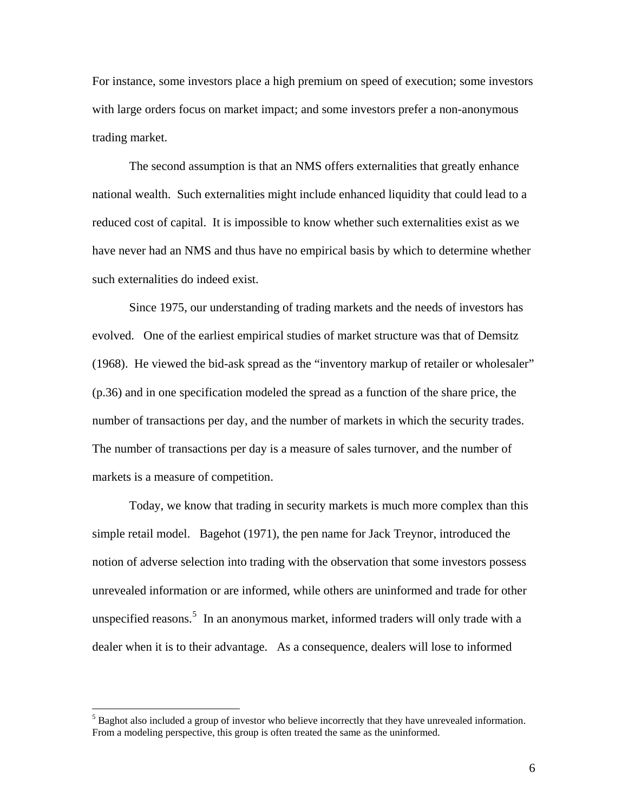For instance, some investors place a high premium on speed of execution; some investors with large orders focus on market impact; and some investors prefer a non-anonymous trading market.

 The second assumption is that an NMS offers externalities that greatly enhance national wealth. Such externalities might include enhanced liquidity that could lead to a reduced cost of capital. It is impossible to know whether such externalities exist as we have never had an NMS and thus have no empirical basis by which to determine whether such externalities do indeed exist.

 Since 1975, our understanding of trading markets and the needs of investors has evolved. One of the earliest empirical studies of market structure was that of Demsitz (1968). He viewed the bid-ask spread as the "inventory markup of retailer or wholesaler" (p.36) and in one specification modeled the spread as a function of the share price, the number of transactions per day, and the number of markets in which the security trades. The number of transactions per day is a measure of sales turnover, and the number of markets is a measure of competition.

Today, we know that trading in security markets is much more complex than this simple retail model. Bagehot (1971), the pen name for Jack Treynor, introduced the notion of adverse selection into trading with the observation that some investors possess unrevealed information or are informed, while others are uninformed and trade for other unspecified reasons.<sup>[5](#page-6-0)</sup> In an anonymous market, informed traders will only trade with a dealer when it is to their advantage. As a consequence, dealers will lose to informed

<span id="page-6-0"></span> $<sup>5</sup>$  Baghot also included a group of investor who believe incorrectly that they have unrevealed information.</sup> From a modeling perspective, this group is often treated the same as the uninformed.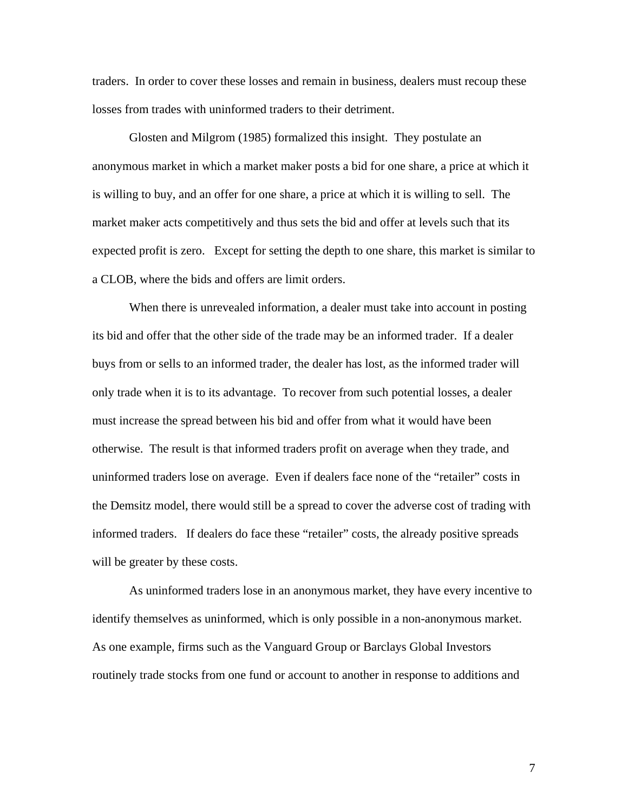traders. In order to cover these losses and remain in business, dealers must recoup these losses from trades with uninformed traders to their detriment.

Glosten and Milgrom (1985) formalized this insight. They postulate an anonymous market in which a market maker posts a bid for one share, a price at which it is willing to buy, and an offer for one share, a price at which it is willing to sell. The market maker acts competitively and thus sets the bid and offer at levels such that its expected profit is zero. Except for setting the depth to one share, this market is similar to a CLOB, where the bids and offers are limit orders.

 When there is unrevealed information, a dealer must take into account in posting its bid and offer that the other side of the trade may be an informed trader. If a dealer buys from or sells to an informed trader, the dealer has lost, as the informed trader will only trade when it is to its advantage. To recover from such potential losses, a dealer must increase the spread between his bid and offer from what it would have been otherwise. The result is that informed traders profit on average when they trade, and uninformed traders lose on average. Even if dealers face none of the "retailer" costs in the Demsitz model, there would still be a spread to cover the adverse cost of trading with informed traders. If dealers do face these "retailer" costs, the already positive spreads will be greater by these costs.

 As uninformed traders lose in an anonymous market, they have every incentive to identify themselves as uninformed, which is only possible in a non-anonymous market. As one example, firms such as the Vanguard Group or Barclays Global Investors routinely trade stocks from one fund or account to another in response to additions and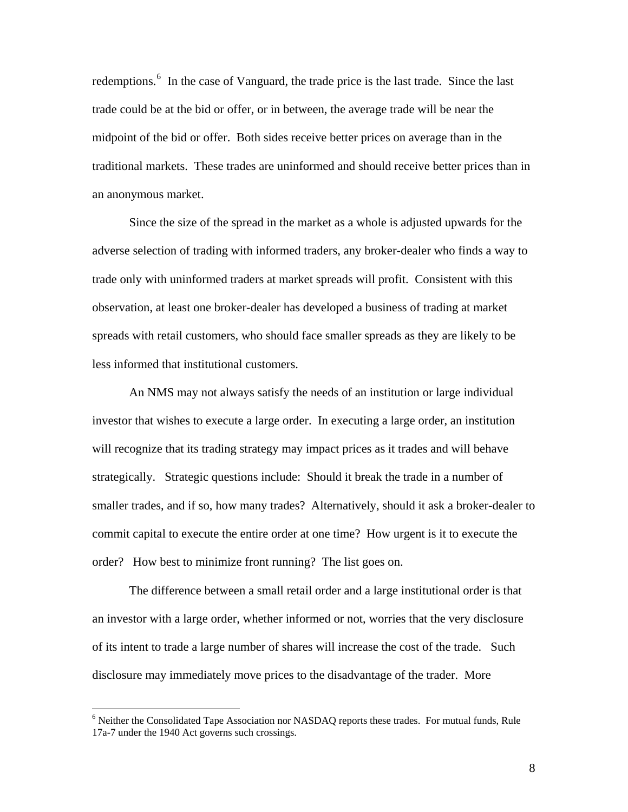redemptions.<sup>[6](#page-8-0)</sup> In the case of Vanguard, the trade price is the last trade. Since the last trade could be at the bid or offer, or in between, the average trade will be near the midpoint of the bid or offer. Both sides receive better prices on average than in the traditional markets. These trades are uninformed and should receive better prices than in an anonymous market.

 Since the size of the spread in the market as a whole is adjusted upwards for the adverse selection of trading with informed traders, any broker-dealer who finds a way to trade only with uninformed traders at market spreads will profit. Consistent with this observation, at least one broker-dealer has developed a business of trading at market spreads with retail customers, who should face smaller spreads as they are likely to be less informed that institutional customers.

 An NMS may not always satisfy the needs of an institution or large individual investor that wishes to execute a large order. In executing a large order, an institution will recognize that its trading strategy may impact prices as it trades and will behave strategically. Strategic questions include: Should it break the trade in a number of smaller trades, and if so, how many trades? Alternatively, should it ask a broker-dealer to commit capital to execute the entire order at one time? How urgent is it to execute the order? How best to minimize front running? The list goes on.

The difference between a small retail order and a large institutional order is that an investor with a large order, whether informed or not, worries that the very disclosure of its intent to trade a large number of shares will increase the cost of the trade. Such disclosure may immediately move prices to the disadvantage of the trader. More

<span id="page-8-0"></span><sup>&</sup>lt;sup>6</sup> Neither the Consolidated Tape Association nor NASDAQ reports these trades. For mutual funds, Rule 17a-7 under the 1940 Act governs such crossings.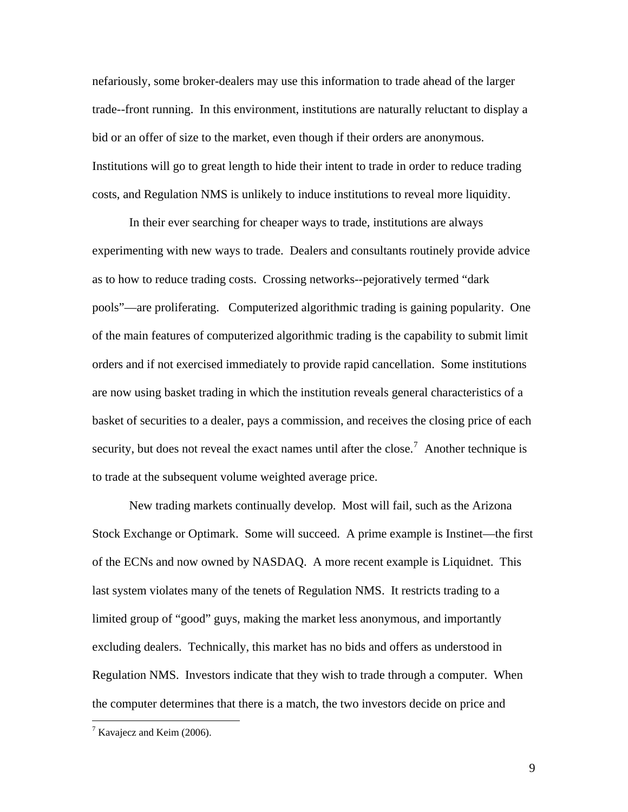nefariously, some broker-dealers may use this information to trade ahead of the larger trade--front running. In this environment, institutions are naturally reluctant to display a bid or an offer of size to the market, even though if their orders are anonymous. Institutions will go to great length to hide their intent to trade in order to reduce trading costs, and Regulation NMS is unlikely to induce institutions to reveal more liquidity.

In their ever searching for cheaper ways to trade, institutions are always experimenting with new ways to trade. Dealers and consultants routinely provide advice as to how to reduce trading costs. Crossing networks--pejoratively termed "dark pools"—are proliferating. Computerized algorithmic trading is gaining popularity. One of the main features of computerized algorithmic trading is the capability to submit limit orders and if not exercised immediately to provide rapid cancellation. Some institutions are now using basket trading in which the institution reveals general characteristics of a basket of securities to a dealer, pays a commission, and receives the closing price of each security, but does not reveal the exact names until after the close.<sup>[7](#page-9-0)</sup> Another technique is to trade at the subsequent volume weighted average price.

New trading markets continually develop. Most will fail, such as the Arizona Stock Exchange or Optimark. Some will succeed. A prime example is Instinet—the first of the ECNs and now owned by NASDAQ. A more recent example is Liquidnet. This last system violates many of the tenets of Regulation NMS. It restricts trading to a limited group of "good" guys, making the market less anonymous, and importantly excluding dealers. Technically, this market has no bids and offers as understood in Regulation NMS. Investors indicate that they wish to trade through a computer. When the computer determines that there is a match, the two investors decide on price and

<span id="page-9-0"></span> $7$  Kavajecz and Keim (2006).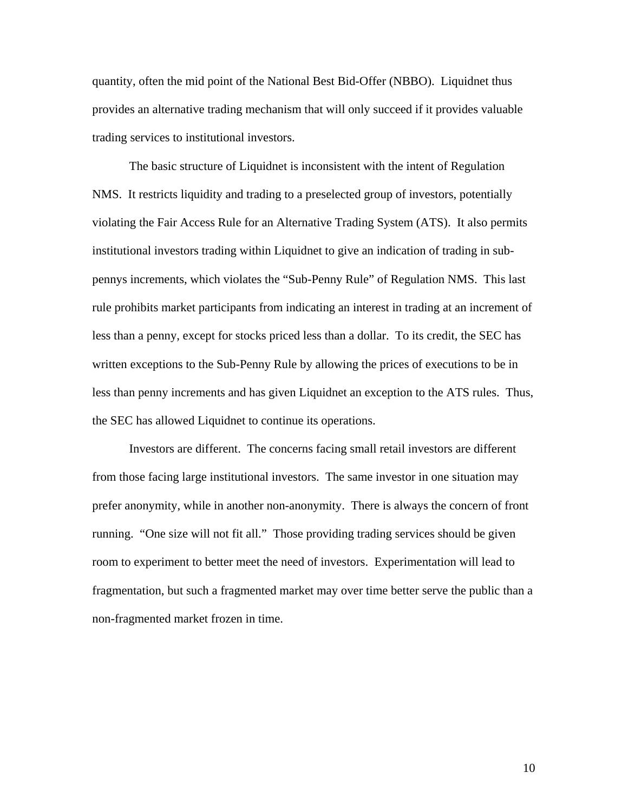quantity, often the mid point of the National Best Bid-Offer (NBBO). Liquidnet thus provides an alternative trading mechanism that will only succeed if it provides valuable trading services to institutional investors.

The basic structure of Liquidnet is inconsistent with the intent of Regulation NMS. It restricts liquidity and trading to a preselected group of investors, potentially violating the Fair Access Rule for an Alternative Trading System (ATS). It also permits institutional investors trading within Liquidnet to give an indication of trading in subpennys increments, which violates the "Sub-Penny Rule" of Regulation NMS. This last rule prohibits market participants from indicating an interest in trading at an increment of less than a penny, except for stocks priced less than a dollar. To its credit, the SEC has written exceptions to the Sub-Penny Rule by allowing the prices of executions to be in less than penny increments and has given Liquidnet an exception to the ATS rules. Thus, the SEC has allowed Liquidnet to continue its operations.

Investors are different. The concerns facing small retail investors are different from those facing large institutional investors. The same investor in one situation may prefer anonymity, while in another non-anonymity. There is always the concern of front running. "One size will not fit all." Those providing trading services should be given room to experiment to better meet the need of investors. Experimentation will lead to fragmentation, but such a fragmented market may over time better serve the public than a non-fragmented market frozen in time.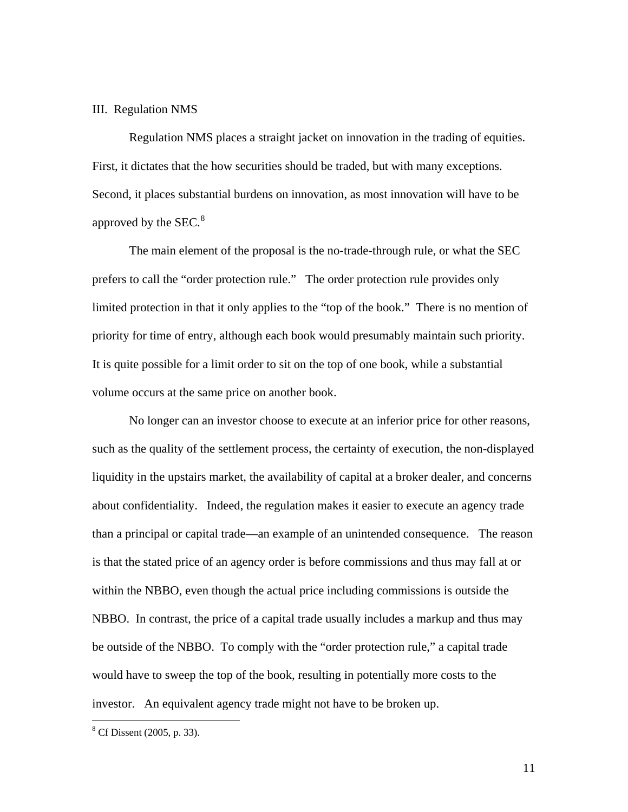## III. Regulation NMS

 Regulation NMS places a straight jacket on innovation in the trading of equities. First, it dictates that the how securities should be traded, but with many exceptions. Second, it places substantial burdens on innovation, as most innovation will have to be approved by the SEC.<sup>[8](#page-11-0)</sup>

 The main element of the proposal is the no-trade-through rule, or what the SEC prefers to call the "order protection rule." The order protection rule provides only limited protection in that it only applies to the "top of the book." There is no mention of priority for time of entry, although each book would presumably maintain such priority. It is quite possible for a limit order to sit on the top of one book, while a substantial volume occurs at the same price on another book.

 No longer can an investor choose to execute at an inferior price for other reasons, such as the quality of the settlement process, the certainty of execution, the non-displayed liquidity in the upstairs market, the availability of capital at a broker dealer, and concerns about confidentiality. Indeed, the regulation makes it easier to execute an agency trade than a principal or capital trade—an example of an unintended consequence. The reason is that the stated price of an agency order is before commissions and thus may fall at or within the NBBO, even though the actual price including commissions is outside the NBBO. In contrast, the price of a capital trade usually includes a markup and thus may be outside of the NBBO. To comply with the "order protection rule," a capital trade would have to sweep the top of the book, resulting in potentially more costs to the investor. An equivalent agency trade might not have to be broken up.

<span id="page-11-0"></span> 8 Cf Dissent (2005, p. 33).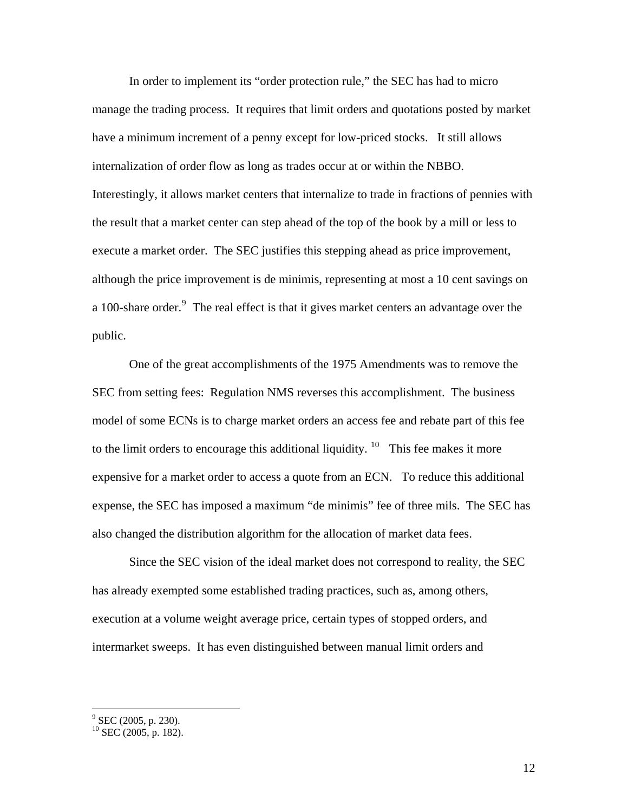In order to implement its "order protection rule," the SEC has had to micro manage the trading process. It requires that limit orders and quotations posted by market have a minimum increment of a penny except for low-priced stocks. It still allows internalization of order flow as long as trades occur at or within the NBBO. Interestingly, it allows market centers that internalize to trade in fractions of pennies with the result that a market center can step ahead of the top of the book by a mill or less to execute a market order. The SEC justifies this stepping ahead as price improvement, although the price improvement is de minimis, representing at most a 10 cent savings on a 100-share order.<sup>[9](#page-12-0)</sup> The real effect is that it gives market centers an advantage over the public.

 One of the great accomplishments of the 1975 Amendments was to remove the SEC from setting fees: Regulation NMS reverses this accomplishment. The business model of some ECNs is to charge market orders an access fee and rebate part of this fee to the limit orders to encourage this additional liquidity.  $10$  This fee makes it more expensive for a market order to access a quote from an ECN. To reduce this additional expense, the SEC has imposed a maximum "de minimis" fee of three mils. The SEC has also changed the distribution algorithm for the allocation of market data fees.

 Since the SEC vision of the ideal market does not correspond to reality, the SEC has already exempted some established trading practices, such as, among others, execution at a volume weight average price, certain types of stopped orders, and intermarket sweeps. It has even distinguished between manual limit orders and

<span id="page-12-0"></span><sup>&</sup>lt;sup>9</sup> SEC (2005, p. 230).

<span id="page-12-1"></span> $^{10}$  SEC (2005, p. 182).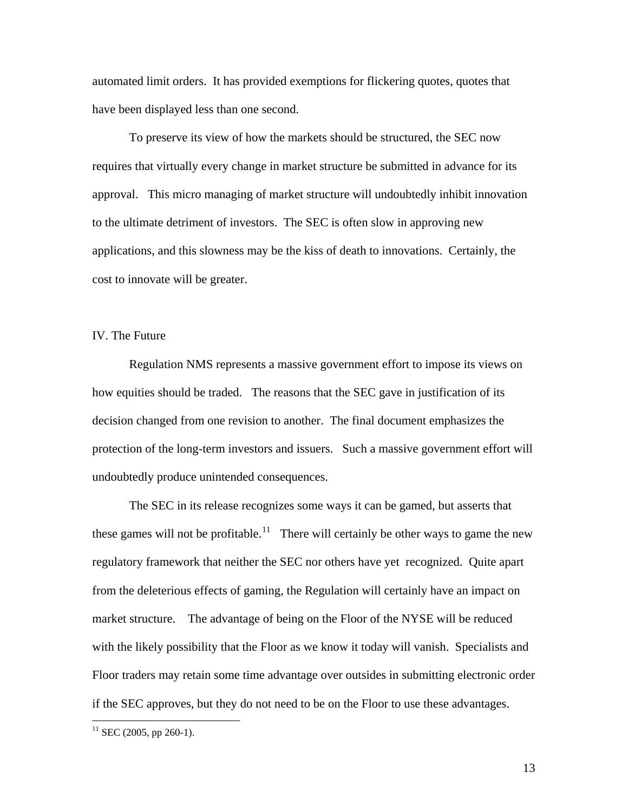automated limit orders. It has provided exemptions for flickering quotes, quotes that have been displayed less than one second.

 To preserve its view of how the markets should be structured, the SEC now requires that virtually every change in market structure be submitted in advance for its approval. This micro managing of market structure will undoubtedly inhibit innovation to the ultimate detriment of investors. The SEC is often slow in approving new applications, and this slowness may be the kiss of death to innovations. Certainly, the cost to innovate will be greater.

## IV. The Future

 Regulation NMS represents a massive government effort to impose its views on how equities should be traded. The reasons that the SEC gave in justification of its decision changed from one revision to another. The final document emphasizes the protection of the long-term investors and issuers. Such a massive government effort will undoubtedly produce unintended consequences.

 The SEC in its release recognizes some ways it can be gamed, but asserts that these games will not be profitable.<sup>[11](#page-13-0)</sup> There will certainly be other ways to game the new regulatory framework that neither the SEC nor others have yet recognized. Quite apart from the deleterious effects of gaming, the Regulation will certainly have an impact on market structure. The advantage of being on the Floor of the NYSE will be reduced with the likely possibility that the Floor as we know it today will vanish. Specialists and Floor traders may retain some time advantage over outsides in submitting electronic order if the SEC approves, but they do not need to be on the Floor to use these advantages.

<span id="page-13-0"></span> $11$  SEC (2005, pp 260-1).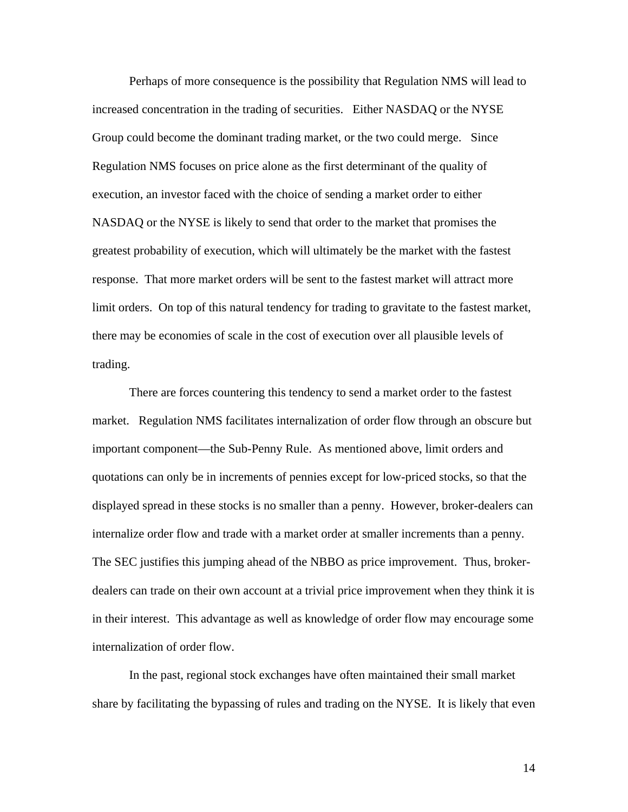Perhaps of more consequence is the possibility that Regulation NMS will lead to increased concentration in the trading of securities. Either NASDAQ or the NYSE Group could become the dominant trading market, or the two could merge. Since Regulation NMS focuses on price alone as the first determinant of the quality of execution, an investor faced with the choice of sending a market order to either NASDAQ or the NYSE is likely to send that order to the market that promises the greatest probability of execution, which will ultimately be the market with the fastest response. That more market orders will be sent to the fastest market will attract more limit orders. On top of this natural tendency for trading to gravitate to the fastest market, there may be economies of scale in the cost of execution over all plausible levels of trading.

 There are forces countering this tendency to send a market order to the fastest market. Regulation NMS facilitates internalization of order flow through an obscure but important component—the Sub-Penny Rule. As mentioned above, limit orders and quotations can only be in increments of pennies except for low-priced stocks, so that the displayed spread in these stocks is no smaller than a penny. However, broker-dealers can internalize order flow and trade with a market order at smaller increments than a penny. The SEC justifies this jumping ahead of the NBBO as price improvement. Thus, brokerdealers can trade on their own account at a trivial price improvement when they think it is in their interest. This advantage as well as knowledge of order flow may encourage some internalization of order flow.

 In the past, regional stock exchanges have often maintained their small market share by facilitating the bypassing of rules and trading on the NYSE. It is likely that even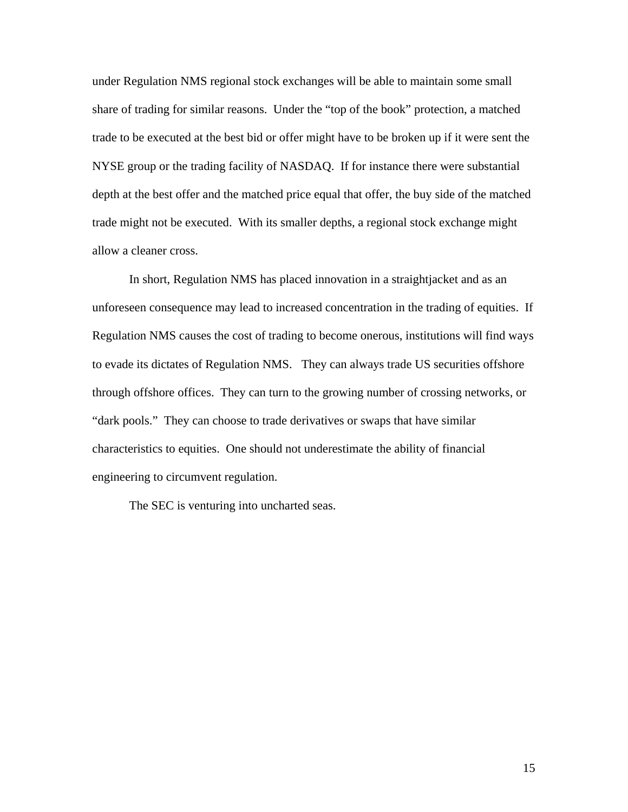under Regulation NMS regional stock exchanges will be able to maintain some small share of trading for similar reasons. Under the "top of the book" protection, a matched trade to be executed at the best bid or offer might have to be broken up if it were sent the NYSE group or the trading facility of NASDAQ. If for instance there were substantial depth at the best offer and the matched price equal that offer, the buy side of the matched trade might not be executed. With its smaller depths, a regional stock exchange might allow a cleaner cross.

 In short, Regulation NMS has placed innovation in a straightjacket and as an unforeseen consequence may lead to increased concentration in the trading of equities. If Regulation NMS causes the cost of trading to become onerous, institutions will find ways to evade its dictates of Regulation NMS. They can always trade US securities offshore through offshore offices. They can turn to the growing number of crossing networks, or "dark pools." They can choose to trade derivatives or swaps that have similar characteristics to equities. One should not underestimate the ability of financial engineering to circumvent regulation.

The SEC is venturing into uncharted seas.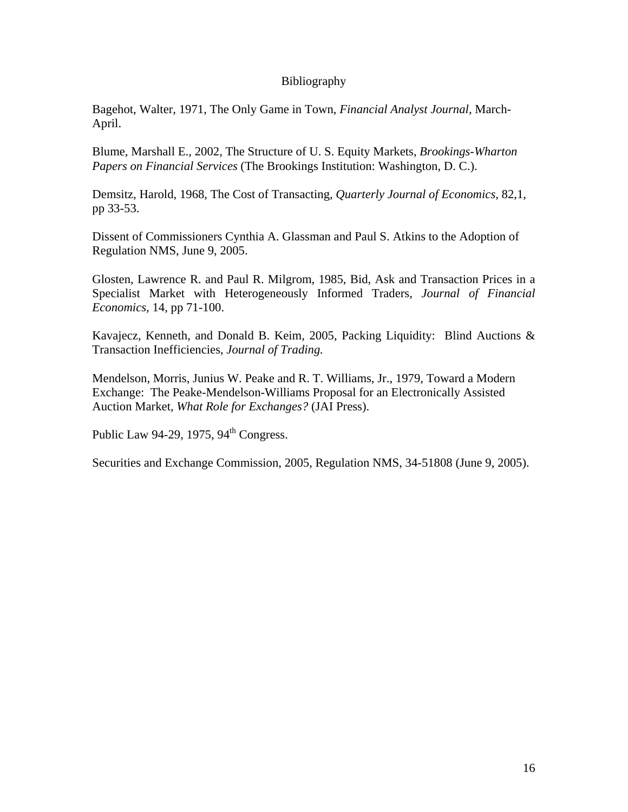# Bibliography

Bagehot, Walter, 1971, The Only Game in Town, *Financial Analyst Journal,* March-April.

Blume, Marshall E., 2002, The Structure of U. S. Equity Markets, *Brookings-Wharton Papers on Financial Services* (The Brookings Institution: Washington, D. C.).

Demsitz, Harold, 1968, The Cost of Transacting, *Quarterly Journal of Economics,* 82,1, pp 33-53.

Dissent of Commissioners Cynthia A. Glassman and Paul S. Atkins to the Adoption of Regulation NMS, June 9, 2005.

Glosten, Lawrence R. and Paul R. Milgrom, 1985, Bid, Ask and Transaction Prices in a Specialist Market with Heterogeneously Informed Traders, *Journal of Financial Economics,* 14, pp 71-100.

Kavajecz, Kenneth, and Donald B. Keim, 2005, Packing Liquidity: Blind Auctions & Transaction Inefficiencies, *Journal of Trading.* 

Mendelson, Morris, Junius W. Peake and R. T. Williams, Jr., 1979, Toward a Modern Exchange: The Peake-Mendelson-Williams Proposal for an Electronically Assisted Auction Market*, What Role for Exchanges?* (JAI Press).

Public Law 94-29, 1975,  $94<sup>th</sup> Congress.$ 

Securities and Exchange Commission, 2005, Regulation NMS, 34-51808 (June 9, 2005).